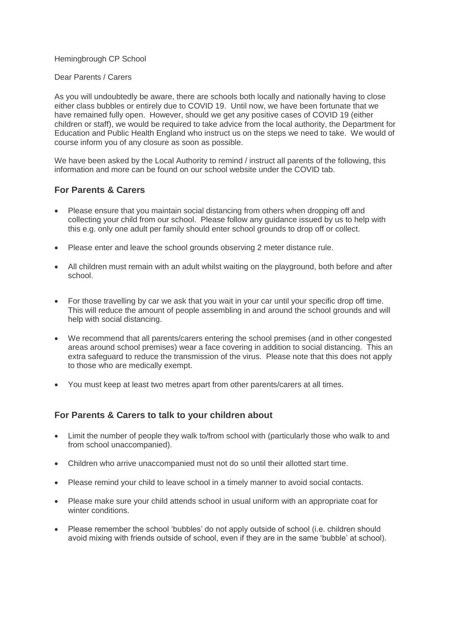#### Hemingbrough CP School

#### Dear Parents / Carers

As you will undoubtedly be aware, there are schools both locally and nationally having to close either class bubbles or entirely due to COVID 19. Until now, we have been fortunate that we have remained fully open. However, should we get any positive cases of COVID 19 (either children or staff), we would be required to take advice from the local authority, the Department for Education and Public Health England who instruct us on the steps we need to take. We would of course inform you of any closure as soon as possible.

We have been asked by the Local Authority to remind / instruct all parents of the following, this information and more can be found on our school website under the COVID tab.

### **For Parents & Carers**

- Please ensure that you maintain social distancing from others when dropping off and collecting your child from our school. Please follow any guidance issued by us to help with this e.g. only one adult per family should enter school grounds to drop off or collect.
- Please enter and leave the school grounds observing 2 meter distance rule.
- All children must remain with an adult whilst waiting on the playground, both before and after school.
- For those travelling by car we ask that you wait in your car until your specific drop off time. This will reduce the amount of people assembling in and around the school grounds and will help with social distancing.
- We recommend that all parents/carers entering the school premises (and in other congested areas around school premises) wear a face covering in addition to social distancing. This an extra safeguard to reduce the transmission of the virus. Please note that this does not apply to those who are medically exempt.
- You must keep at least two metres apart from other parents/carers at all times.

## **For Parents & Carers to talk to your children about**

- Limit the number of people they walk to/from school with (particularly those who walk to and from school unaccompanied).
- Children who arrive unaccompanied must not do so until their allotted start time.
- Please remind your child to leave school in a timely manner to avoid social contacts.
- Please make sure your child attends school in usual uniform with an appropriate coat for winter conditions.
- Please remember the school 'bubbles' do not apply outside of school (i.e. children should avoid mixing with friends outside of school, even if they are in the same 'bubble' at school).